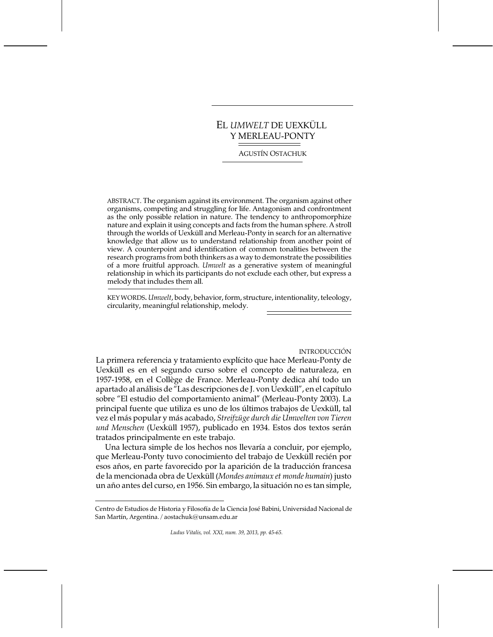# EL *UMWELT* DE UEXKÜLL Y MERLEAU-PONTY

**AGUSTÍN OSTACHUK** 

ABSTRACT. The organism against its environment. The organism against other organisms, competing and struggling for life. Antagonism and confrontment as the only possible relation in nature. The tendency to anthropomorphize nature and explain it using concepts and facts from the human sphere. A stroll through the worlds of Uexküll and Merleau-Ponty in search for an alternative knowledge that allow us to understand relationship from another point of view. A counterpoint and identification of common tonalities between the research programs from both thinkers as a way to demonstrate the possibilities of a more fruitful approach. Umwelt as a generative system of meaningful relationship in which its participants do not exclude each other, but express a melody that includes them all.

KEY WORDS. Umwelt, body, behavior, form, structure, intentionality, teleology, circularity, meaningful relationship, melody.

**INTRODUCCIÓN** 

La primera referencia y tratamiento explícito que hace Merleau-Ponty de Uexküll es en el segundo curso sobre el concepto de naturaleza, en 1957-1958, en el Collège de France. Merleau-Ponty dedica ahí todo un apartado al análisis de "Las descripciones de J. von Uexküll", en el capítulo sobre "El estudio del comportamiento animal" (Merleau-Ponty 2003). La principal fuente que utiliza es uno de los últimos trabajos de Uexküll, tal vez el más popular y más acabado, Streifzüge durch die Umwelten von Tieren und Menschen (Uexküll 1957), publicado en 1934. Estos dos textos serán tratados principalmente en este trabajo.

Una lectura simple de los hechos nos llevaría a concluir, por ejemplo, que Merleau-Ponty tuvo conocimiento del trabajo de Uexküll recién por esos años, en parte favorecido por la aparición de la traducción francesa de la mencionada obra de Uexküll (Mondes animaux et monde humain) justo un año antes del curso, en 1956. Sin embargo, la situación no es tan simple,

Centro de Estudios de Historia y Filosofía de la Ciencia José Babini, Universidad Nacional de San Martín, Argentina. / aostachuk@unsam.edu.ar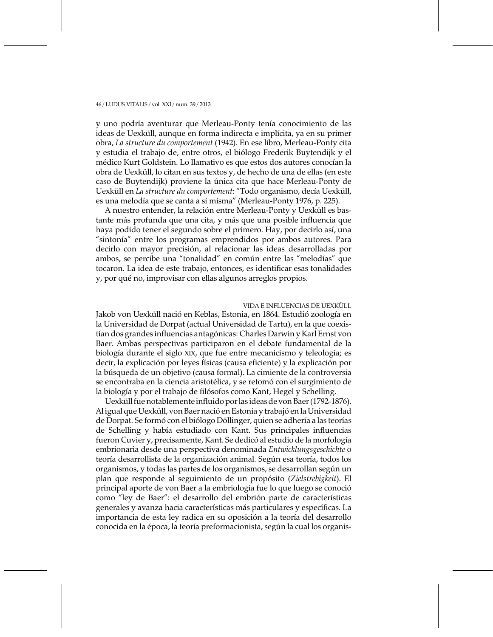y uno podría aventurar que Merleau-Ponty tenía conocimiento de las ideas de Uexküll, aunque en forma indirecta e implícita, ya en su primer obra, La structure du comportement (1942). En ese libro, Merleau-Ponty cita y estudia el trabajo de, entre otros, el biólogo Frederik Buytendijk y el médico Kurt Goldstein. Lo llamativo es que estos dos autores conocían la obra de Uexküll, lo citan en sus textos y, de hecho de una de ellas (en este caso de Buytendijk) proviene la única cita que hace Merleau-Ponty de Uexküll en La structure du comportement: "Todo organismo, decía Uexküll, es una melodía que se canta a sí misma" (Merleau-Ponty 1976, p. 225).

A nuestro entender, la relación entre Merleau-Ponty y Uexküll es bastante más profunda que una cita, y más que una posible influencia que hava podido tener el segundo sobre el primero. Hay, por decirlo así, una "sintonía" entre los programas emprendidos por ambos autores. Para decirlo con mayor precisión, al relacionar las ideas desarrolladas por ambos, se percibe una "tonalidad" en común entre las "melodías" que tocaron. La idea de este trabajo, entonces, es identificar esas tonalidades y, por qué no, improvisar con ellas algunos arreglos propios.

#### VIDA E INFLUENCIAS DE UEXKÜLL

Jakob von Uexküll nació en Keblas, Estonia, en 1864. Estudió zoología en la Universidad de Dorpat (actual Universidad de Tartu), en la que coexistían dos grandes influencias antagónicas: Charles Darwin y Karl Ernst von Baer. Ambas perspectivas participaron en el debate fundamental de la biología durante el siglo XIX, que fue entre mecanicismo y teleología; es decir, la explicación por leyes físicas (causa eficiente) y la explicación por la búsqueda de un objetivo (causa formal). La cimiente de la controversia se encontraba en la ciencia aristotélica, y se retomó con el surgimiento de la biología y por el trabajo de filósofos como Kant, Hegel y Schelling.

Uexküll fue notablemente influido por las ideas de von Baer (1792-1876). Al igual que Uexküll, von Baer nació en Estonia y trabajó en la Universidad de Dorpat. Se formó con el biólogo Döllinger, quien se adhería a las teorías de Schelling y había estudiado con Kant. Sus principales influencias fueron Cuvier y, precisamente, Kant. Se dedicó al estudio de la morfología embrionaria desde una perspectiva denominada Entwicklungsgeschichte o teoría desarrollista de la organización animal. Según esa teoría, todos los organismos, y todas las partes de los organismos, se desarrollan según un plan que responde al seguimiento de un propósito (Zielstrebigkeit). El principal aporte de von Baer a la embriología fue lo que luego se conoció como "ley de Baer": el desarrollo del embrión parte de características generales y avanza hacia características más particulares y específicas. La importancia de esta ley radica en su oposición a la teoría del desarrollo conocida en la época, la teoría preformacionista, según la cual los organis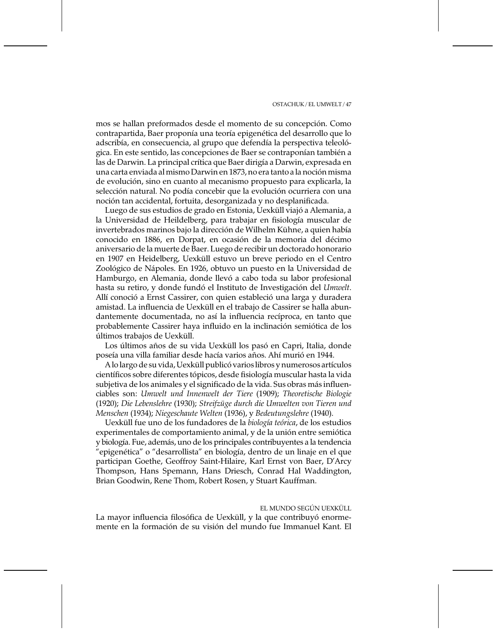mos se hallan preformados desde el momento de su concepción. Como contrapartida, Baer proponía una teoría epigenética del desarrollo que lo adscribía, en consecuencia, al grupo que defendía la perspectiva teleológica. En este sentido, las concepciones de Baer se contraponían también a las de Darwin. La principal crítica que Baer dirigía a Darwin, expresada en una carta enviada al mismo Darwin en 1873, no era tanto a la noción misma de evolución, sino en cuanto al mecanismo propuesto para explicarla, la selección natural. No podía concebir que la evolución ocurriera con una noción tan accidental, fortuita, desorganizada y no desplanificada.

Luego de sus estudios de grado en Estonia, Uexküll viajó a Alemania, a la Universidad de Heildelberg, para trabajar en fisiología muscular de invertebrados marinos bajo la dirección de Wilhelm Kühne, a quien había conocido en 1886, en Dorpat, en ocasión de la memoria del décimo aniversario de la muerte de Baer. Luego de recibir un doctorado honorario en 1907 en Heidelberg, Uexküll estuvo un breve periodo en el Centro Zoológico de Nápoles. En 1926, obtuvo un puesto en la Universidad de Hamburgo, en Alemania, donde llevó a cabo toda su labor profesional hasta su retiro, y donde fundó el Instituto de Investigación del Umwelt. Allí conoció a Ernst Cassirer, con quien estableció una larga y duradera amistad. La influencia de Uexküll en el trabajo de Cassirer se halla abundantemente documentada, no así la influencia recíproca, en tanto que probablemente Cassirer haya influido en la inclinación semiótica de los últimos trabajos de Uexküll.

Los últimos años de su vida Uexküll los pasó en Capri, Italia, donde poseía una villa familiar desde hacía varios años. Ahí murió en 1944.

A lo largo de su vida, Uexküll publicó varios libros y numerosos artículos científicos sobre diferentes tópicos, desde fisiología muscular hasta la vida subjetiva de los animales y el significado de la vida. Sus obras más influenciables son: Umwelt und Innenwelt der Tiere (1909); Theoretische Biologie (1920); Die Lebenslehre (1930); Streifzüge durch die Umwelten von Tieren und Menschen (1934); Niegeschaute Welten (1936), y Bedeutungslehre (1940).

Uexküll fue uno de los fundadores de la biología teórica, de los estudios experimentales de comportamiento animal, y de la unión entre semiótica y biología. Fue, además, uno de los principales contribuyentes a la tendencia "epigenética" o "desarrollista" en biología, dentro de un linaje en el que participan Goethe, Geoffroy Saint-Hilaire, Karl Ernst von Baer, D'Arcy Thompson, Hans Spemann, Hans Driesch, Conrad Hal Waddington, Brian Goodwin, Rene Thom, Robert Rosen, y Stuart Kauffman.

## EL MUNDO SEGÚN UEXKÜLL

La mayor influencia filosófica de Uexküll, y la que contribuyó enormemente en la formación de su visión del mundo fue Immanuel Kant. El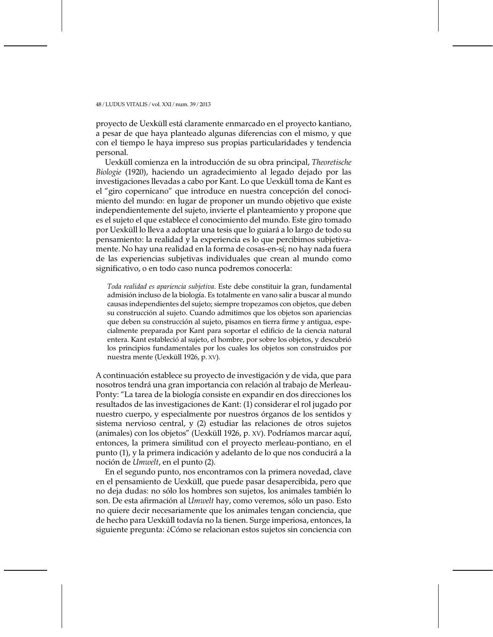proyecto de Uexküll está claramente enmarcado en el proyecto kantiano, a pesar de que haya planteado algunas diferencias con el mismo, y que con el tiempo le haya impreso sus propias particularidades y tendencia personal.

Uexküll comienza en la introducción de su obra principal, Theoretische Biologie (1920), haciendo un agradecimiento al legado dejado por las investigaciones llevadas a cabo por Kant. Lo que Uexküll toma de Kant es el "giro copernicano" que introduce en nuestra concepción del conocimiento del mundo: en lugar de proponer un mundo objetivo que existe independientemente del sujeto, invierte el planteamiento y propone que es el sujeto el que establece el conocimiento del mundo. Este giro tomado por Uexküll lo lleva a adoptar una tesis que lo guiará a lo largo de todo su pensamiento: la realidad y la experiencia es lo que percibimos subjetivamente. No hay una realidad en la forma de cosas-en-sí; no hay nada fuera de las experiencias subjetivas individuales que crean al mundo como significativo, o en todo caso nunca podremos conocerla:

Toda realidad es apariencia subjetiva. Este debe constituir la gran, fundamental admisión incluso de la biología. Es totalmente en vano salir a buscar al mundo causas independientes del sujeto; siempre tropezamos con objetos, que deben su construcción al sujeto. Cuando admitimos que los objetos son apariencias que deben su construcción al sujeto, pisamos en tierra firme y antigua, especialmente preparada por Kant para soportar el edificio de la ciencia natural entera. Kant estableció al sujeto, el hombre, por sobre los objetos, y descubrió los principios fundamentales por los cuales los objetos son construidos por nuestra mente (Uexküll 1926, p. XV).

A continuación establece su proyecto de investigación y de vida, que para nosotros tendrá una gran importancia con relación al trabajo de Merleau-Ponty: "La tarea de la biología consiste en expandir en dos direcciones los resultados de las investigaciones de Kant: (1) considerar el rol jugado por nuestro cuerpo, y especialmente por nuestros órganos de los sentidos y sistema nervioso central, y (2) estudiar las relaciones de otros sujetos (animales) con los objetos" (Uexküll 1926, p. XV). Podríamos marcar aquí, entonces, la primera similitud con el proyecto merleau-pontiano, en el punto (1), y la primera indicación y adelanto de lo que nos conducirá a la noción de *Umwelt*, en el punto (2).

En el segundo punto, nos encontramos con la primera novedad, clave en el pensamiento de Uexküll, que puede pasar desapercibida, pero que no deja dudas: no sólo los hombres son sujetos, los animales también lo son. De esta afirmación al *Umwelt* hay, como veremos, sólo un paso. Esto no quiere decir necesariamente que los animales tengan conciencia, que de hecho para Uexküll todavía no la tienen. Surge imperiosa, entonces, la siguiente pregunta: ¿Cómo se relacionan estos sujetos sin conciencia con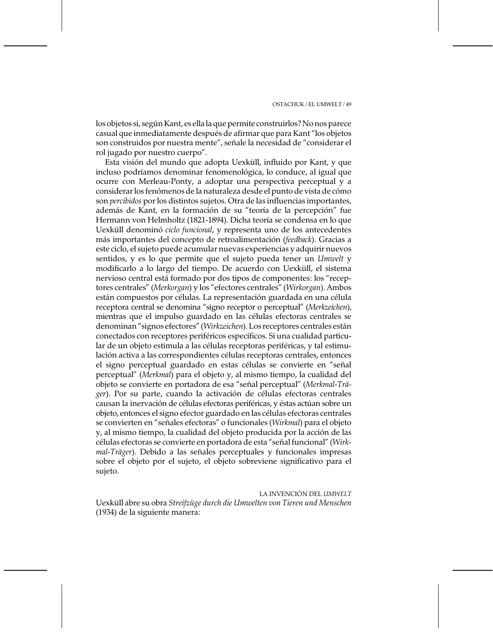los objetos si, según Kant, es ella la que permite construirlos? No nos parece casual que inmediatamente después de afirmar que para Kant "los objetos son construidos por nuestra mente", señale la necesidad de "considerar el rol jugado por nuestro cuerpo".

Esta visión del mundo que adopta Uexküll, influido por Kant, y que incluso podríamos denominar fenomenológica, lo conduce, al igual que ocurre con Merleau-Ponty, a adoptar una perspectiva perceptual y a considerar los fenómenos de la naturaleza desde el punto de vista de cómo son *percibidos* por los distintos sujetos. Otra de las influencias importantes, además de Kant, en la formación de su "teoría de la percepción" fue Hermann von Helmholtz (1821-1894). Dicha teoría se condensa en lo que Uexküll denominó ciclo funcional, y representa uno de los antecedentes más importantes del concepto de retroalimentación (feedback). Gracias a este ciclo, el sujeto puede acumular nuevas experiencias y adquirir nuevos sentidos, y es lo que permite que el sujeto pueda tener un Umwelt y modificarlo a lo largo del tiempo. De acuerdo con Uexküll, el sistema nervioso central está formado por dos tipos de componentes: los "receptores centrales" (Merkorgan) y los "efectores centrales" (Wirkorgan). Ambos están compuestos por células. La representación guardada en una célula receptora central se denomina "signo receptor o perceptual" (Merkzeichen), mientras que el impulso guardado en las células efectoras centrales se denominan "signos efectores" (Wirkzeichen). Los receptores centrales están conectados con receptores periféricos específicos. Si una cualidad particular de un objeto estimula a las células receptoras periféricas, y tal estimulación activa a las correspondientes células receptoras centrales, entonces el signo perceptual guardado en estas células se convierte en "señal perceptual" (Merkmal) para el objeto y, al mismo tiempo, la cualidad del objeto se convierte en portadora de esa "señal perceptual" (Merkmal-Träger). Por su parte, cuando la activación de células efectoras centrales causan la inervación de células efectoras periféricas, y éstas actúan sobre un objeto, entonces el signo efector guardado en las células efectoras centrales se convierten en "señales efectoras" o funcionales (Wirkmal) para el objeto y, al mismo tiempo, la cualidad del objeto producida por la acción de las células efectoras se convierte en portadora de esta "señal funcional" (Wirkmal-Träger). Debido a las señales perceptuales y funcionales impresas sobre el objeto por el sujeto, el objeto sobreviene significativo para el sujeto.

LA INVENCIÓN DEL UMWELT Uexküll abre su obra Streifzüge durch die Umwelten von Tieren und Menschen (1934) de la siguiente manera: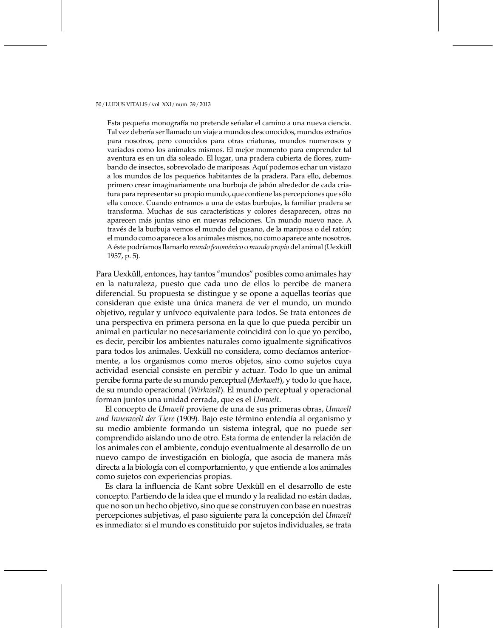Esta pequeña monografía no pretende señalar el camino a una nueva ciencia. Tal vez debería ser llamado un viaje a mundos desconocidos, mundos extraños para nosotros, pero conocidos para otras criaturas, mundos numerosos y variados como los animales mismos. El mejor momento para emprender tal aventura es en un día soleado. El lugar, una pradera cubierta de flores, zumbando de insectos, sobrevolado de mariposas. Aquí podemos echar un vistazo a los mundos de los pequeños habitantes de la pradera. Para ello, debemos primero crear imaginariamente una burbuja de jabón alrededor de cada criatura para representar su propio mundo, que contiene las percepciones que sólo ella conoce. Cuando entramos a una de estas burbujas, la familiar pradera se transforma. Muchas de sus características y colores desaparecen, otras no aparecen más juntas sino en nuevas relaciones. Un mundo nuevo nace. A través de la burbuja vemos el mundo del gusano, de la mariposa o del ratón; el mundo como aparece a los animales mismos, no como aparece ante nosotros. A éste podríamos llamarlo mundo fenoménico o mundo propio del animal (Uexküll 1957, p. 5).

Para Uexküll, entonces, hay tantos "mundos" posibles como animales hay en la naturaleza, puesto que cada uno de ellos lo percibe de manera diferencial. Su propuesta se distingue y se opone a aquellas teorías que consideran que existe una única manera de ver el mundo, un mundo objetivo, regular y unívoco equivalente para todos. Se trata entonces de una perspectiva en primera persona en la que lo que pueda percibir un animal en particular no necesariamente coincidirá con lo que yo percibo, es decir, percibir los ambientes naturales como igualmente significativos para todos los animales. Uexküll no considera, como decíamos anteriormente, a los organismos como meros objetos, sino como sujetos cuya actividad esencial consiste en percibir y actuar. Todo lo que un animal percibe forma parte de su mundo perceptual (Merkwelt), y todo lo que hace, de su mundo operacional (Wirkwelt). El mundo perceptual y operacional forman juntos una unidad cerrada, que es el Umwelt.

El concepto de Umwelt proviene de una de sus primeras obras, Umwelt und Innenwelt der Tiere (1909). Bajo este término entendía al organismo y su medio ambiente formando un sistema integral, que no puede ser comprendido aislando uno de otro. Esta forma de entender la relación de los animales con el ambiente, condujo eventualmente al desarrollo de un nuevo campo de investigación en biología, que asocia de manera más directa a la biología con el comportamiento, y que entiende a los animales como sujetos con experiencias propias.

Es clara la influencia de Kant sobre Uexküll en el desarrollo de este concepto. Partiendo de la idea que el mundo y la realidad no están dadas, que no son un hecho objetivo, sino que se construyen con base en nuestras percepciones subjetivas, el paso siguiente para la concepción del Umwelt es inmediato: si el mundo es constituido por sujetos individuales, se trata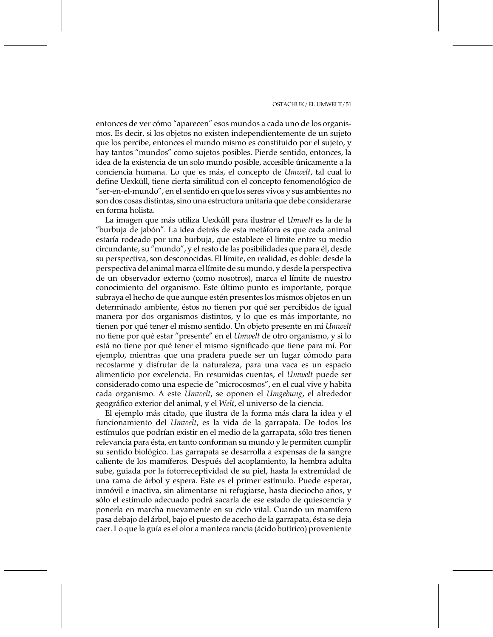entonces de ver cómo "aparecen" esos mundos a cada uno de los organismos. Es decir, si los objetos no existen independientemente de un sujeto que los percibe, entonces el mundo mismo es constituido por el sujeto, y hay tantos "mundos" como sujetos posibles. Pierde sentido, entonces, la idea de la existencia de un solo mundo posible, accesible únicamente a la conciencia humana. Lo que es más, el concepto de Umwelt, tal cual lo define Uexküll, tiene cierta similitud con el concepto fenomenológico de "ser-en-el-mundo", en el sentido en que los seres vivos y sus ambientes no son dos cosas distintas, sino una estructura unitaria que debe considerarse en forma holista.

La imagen que más utiliza Uexküll para ilustrar el Umwelt es la de la "burbuja de jabón". La idea detrás de esta metáfora es que cada animal estaría rodeado por una burbuja, que establece el límite entre su medio circundante, su "mundo", y el resto de las posibilidades que para él, desde su perspectiva, son desconocidas. El límite, en realidad, es doble: desde la perspectiva del animal marca el límite de su mundo, y desde la perspectiva de un observador externo (como nosotros), marca el límite de nuestro conocimiento del organismo. Este último punto es importante, porque subraya el hecho de que aunque estén presentes los mismos objetos en un determinado ambiente, éstos no tienen por qué ser percibidos de igual manera por dos organismos distintos, y lo que es más importante, no tienen por qué tener el mismo sentido. Un objeto presente en mi Umwelt no tiene por qué estar "presente" en el *Umwelt* de otro organismo, y si lo está no tiene por qué tener el mismo significado que tiene para mí. Por ejemplo, mientras que una pradera puede ser un lugar cómodo para recostarme y disfrutar de la naturaleza, para una vaca es un espacio alimenticio por excelencia. En resumidas cuentas, el Umwelt puede ser considerado como una especie de "microcosmos", en el cual vive y habita cada organismo. A este Umwelt, se oponen el Umgebung, el alrededor geográfico exterior del animal, y el Welt, el universo de la ciencia.

El ejemplo más citado, que ilustra de la forma más clara la idea y el funcionamiento del Umwelt, es la vida de la garrapata. De todos los estímulos que podrían existir en el medio de la garrapata, sólo tres tienen relevancia para ésta, en tanto conforman su mundo y le permiten cumplir su sentido biológico. Las garrapata se desarrolla a expensas de la sangre caliente de los mamíferos. Después del acoplamiento, la hembra adulta sube, guiada por la fotorreceptividad de su piel, hasta la extremidad de una rama de árbol y espera. Este es el primer estímulo. Puede esperar, inmóvil e inactiva, sin alimentarse ni refugiarse, hasta dieciocho años, y sólo el estímulo adecuado podrá sacarla de ese estado de quiescencia y ponerla en marcha nuevamente en su ciclo vital. Cuando un mamífero pasa debajo del árbol, bajo el puesto de acecho de la garrapata, ésta se deja caer. Lo que la guía es el olor a manteca rancia (ácido butírico) proveniente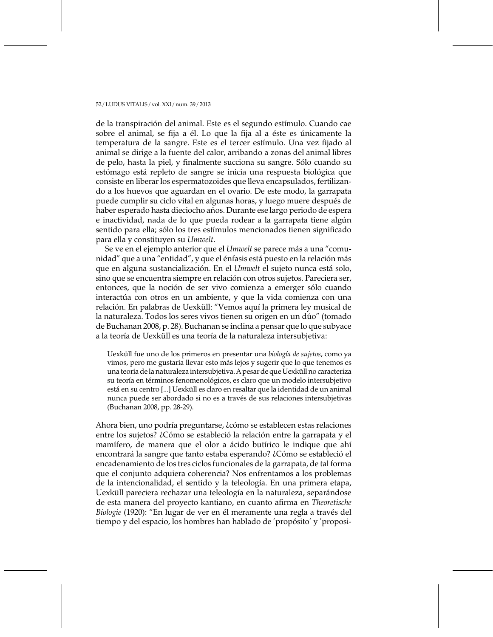de la transpiración del animal. Este es el segundo estímulo. Cuando cae sobre el animal, se fija a él. Lo que la fija al a éste es únicamente la temperatura de la sangre. Este es el tercer estímulo. Una vez fijado al animal se dirige a la fuente del calor, arribando a zonas del animal libres de pelo, hasta la piel, y finalmente succiona su sangre. Sólo cuando su estómago está repleto de sangre se inicia una respuesta biológica que consiste en liberar los espermatozoides que lleva encapsulados, fertilizando a los huevos que aguardan en el ovario. De este modo, la garrapata puede cumplir su ciclo vital en algunas horas, y luego muere después de haber esperado hasta dieciocho años. Durante ese largo periodo de espera e inactividad, nada de lo que pueda rodear a la garrapata tiene algún sentido para ella; sólo los tres estímulos mencionados tienen significado para ella y constituyen su Umwelt.

Se ve en el ejemplo anterior que el *Umwelt* se parece más a una "comunidad" que a una "entidad", y que el énfasis está puesto en la relación más que en alguna sustancialización. En el Umwelt el sujeto nunca está solo, sino que se encuentra siempre en relación con otros sujetos. Pareciera ser, entonces, que la noción de ser vivo comienza a emerger sólo cuando interactúa con otros en un ambiente, y que la vida comienza con una relación. En palabras de Uexküll: "Vemos aquí la primera ley musical de la naturaleza. Todos los seres vivos tienen su origen en un dúo" (tomado de Buchanan 2008, p. 28). Buchanan se inclina a pensar que lo que subvace a la teoría de Uexküll es una teoría de la naturaleza intersubjetiva:

Uexküll fue uno de los primeros en presentar una biología de sujetos, como ya vimos, pero me gustaría llevar esto más lejos y sugerir que lo que tenemos es una teoría de la naturaleza intersubjetiva. A pesar de que Uexküll no caracteriza su teoría en términos fenomenológicos, es claro que un modelo intersubjetivo está en su centro [...] Uexküll es claro en resaltar que la identidad de un animal nunca puede ser abordado si no es a través de sus relaciones intersubjetivas (Buchanan 2008, pp. 28-29).

Ahora bien, uno podría preguntarse, ¿cómo se establecen estas relaciones entre los sujetos? ¿Cómo se estableció la relación entre la garrapata y el mamífero, de manera que el olor a ácido butírico le indique que ahí encontrará la sangre que tanto estaba esperando? ¿Cómo se estableció el encadenamiento de los tres ciclos funcionales de la garrapata, de tal forma que el conjunto adquiera coherencia? Nos enfrentamos a los problemas de la intencionalidad, el sentido y la teleología. En una primera etapa, Uexküll pareciera rechazar una teleología en la naturaleza, separándose de esta manera del proyecto kantiano, en cuanto afirma en Theoretische Biologie (1920): "En lugar de ver en él meramente una regla a través del tiempo y del espacio, los hombres han hablado de 'propósito' y 'proposi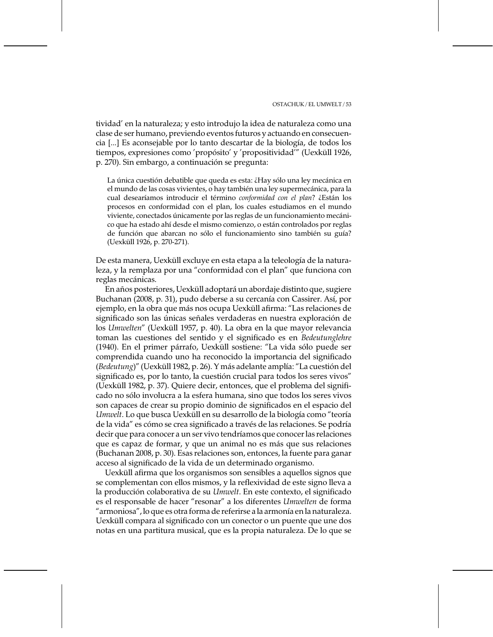tividad' en la naturaleza; y esto introdujo la idea de naturaleza como una clase de ser humano, previendo eventos futuros y actuando en consecuencia [...] Es aconsejable por lo tanto descartar de la biología, de todos los tiempos, expresiones como 'propósito' y 'propositividad'" (Uexküll 1926, p. 270). Sin embargo, a continuación se pregunta:

La única cuestión debatible que queda es esta: ¿Hay sólo una ley mecánica en el mundo de las cosas vivientes, o hay también una ley supermecánica, para la cual desearíamos introducir el término conformidad con el plan? ¿Están los procesos en conformidad con el plan, los cuales estudiamos en el mundo viviente, conectados únicamente por las reglas de un funcionamiento mecánico que ha estado ahí desde el mismo comienzo, o están controlados por reglas de función que abarcan no sólo el funcionamiento sino también su guía? (Uexküll 1926, p. 270-271).

De esta manera, Uexküll excluye en esta etapa a la teleología de la naturaleza, y la remplaza por una "conformidad con el plan" que funciona con reglas mecánicas.

En años posteriores, Uexküll adoptará un abordaje distinto que, sugiere Buchanan (2008, p. 31), pudo deberse a su cercanía con Cassirer. Así, por ejemplo, en la obra que más nos ocupa Uexküll afirma: "Las relaciones de significado son las únicas señales verdaderas en nuestra exploración de los Umwelten" (Uexküll 1957, p. 40). La obra en la que mayor relevancia toman las cuestiones del sentido y el significado es en Bedeutunglehre (1940). En el primer párrafo, Uexküll sostiene: "La vida sólo puede ser comprendida cuando uno ha reconocido la importancia del significado (Bedeutung)" (Uexküll 1982, p. 26). Y más adelante amplía: "La cuestión del significado es, por lo tanto, la cuestión crucial para todos los seres vivos" (Uexküll 1982, p. 37). Quiere decir, entonces, que el problema del significado no sólo involucra a la esfera humana, sino que todos los seres vivos son capaces de crear su propio dominio de significados en el espacio del Umwelt. Lo que busca Uexküll en su desarrollo de la biología como "teoría de la vida" es cómo se crea significado a través de las relaciones. Se podría decir que para conocer a un ser vivo tendríamos que conocer las relaciones que es capaz de formar, y que un animal no es más que sus relaciones (Buchanan 2008, p. 30). Esas relaciones son, entonces, la fuente para ganar acceso al significado de la vida de un determinado organismo.

Uexküll afirma que los organismos son sensibles a aquellos signos que se complementan con ellos mismos, y la reflexividad de este signo lleva a la producción colaborativa de su Umwelt. En este contexto, el significado es el responsable de hacer "resonar" a los diferentes Umwelten de forma "armoniosa", lo que es otra forma de referirse a la armonía en la naturaleza. Uexküll compara al significado con un conector o un puente que une dos notas en una partitura musical, que es la propia naturaleza. De lo que se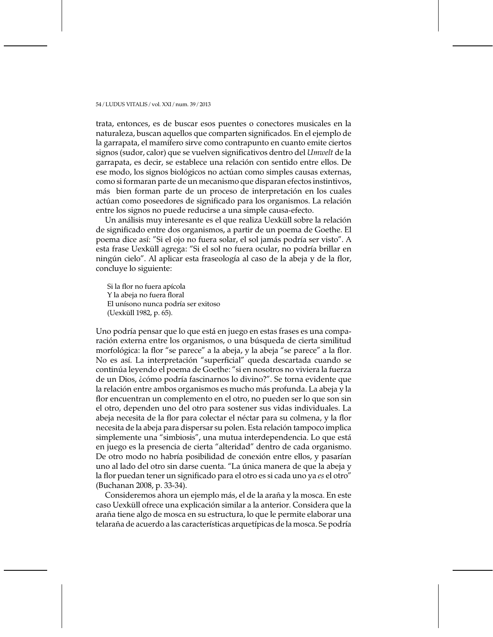trata, entonces, es de buscar esos puentes o conectores musicales en la naturaleza, buscan aquellos que comparten significados. En el ejemplo de la garrapata, el mamífero sirve como contrapunto en cuanto emite ciertos signos (sudor, calor) que se vuelven significativos dentro del Umwelt de la garrapata, es decir, se establece una relación con sentido entre ellos. De ese modo, los signos biológicos no actúan como simples causas externas, como si formaran parte de un mecanismo que disparan efectos instintivos, más bien forman parte de un proceso de interpretación en los cuales actúan como poseedores de significado para los organismos. La relación entre los signos no puede reducirse a una simple causa-efecto.

Un análisis muy interesante es el que realiza Uexküll sobre la relación de significado entre dos organismos, a partir de un poema de Goethe. El poema dice así: "Si el ojo no fuera solar, el sol jamás podría ser visto". A esta frase Uexküll agrega: "Si el sol no fuera ocular, no podría brillar en ningún cielo". Al aplicar esta fraseología al caso de la abeja y de la flor, concluye lo siguiente:

Si la flor no fuera apícola Y la abeja no fuera floral El unísono nunca podría ser exitoso (Uexküll 1982, p. 65).

Uno podría pensar que lo que está en juego en estas frases es una comparación externa entre los organismos, o una búsqueda de cierta similitud morfológica: la flor "se parece" a la abeja, y la abeja "se parece" a la flor. No es así. La interpretación "superficial" queda descartada cuando se continúa leyendo el poema de Goethe: "si en nosotros no viviera la fuerza de un Dios, ¿cómo podría fascinarnos lo divino?". Se torna evidente que la relación entre ambos organismos es mucho más profunda. La abeja y la flor encuentran un complemento en el otro, no pueden ser lo que son sin el otro, dependen uno del otro para sostener sus vidas individuales. La abeja necesita de la flor para colectar el néctar para su colmena, y la flor necesita de la abeja para dispersar su polen. Esta relación tampoco implica simplemente una "simbiosis", una mutua interdependencia. Lo que está en juego es la presencia de cierta "alteridad" dentro de cada organismo. De otro modo no habría posibilidad de conexión entre ellos, y pasarían uno al lado del otro sin darse cuenta. "La única manera de que la abeja y la flor puedan tener un significado para el otro es si cada uno ya es el otro" (Buchanan 2008, p. 33-34).

Consideremos ahora un ejemplo más, el de la araña y la mosca. En este caso Uexküll ofrece una explicación similar a la anterior. Considera que la araña tiene algo de mosca en su estructura, lo que le permite elaborar una telaraña de acuerdo a las características arquetípicas de la mosca. Se podría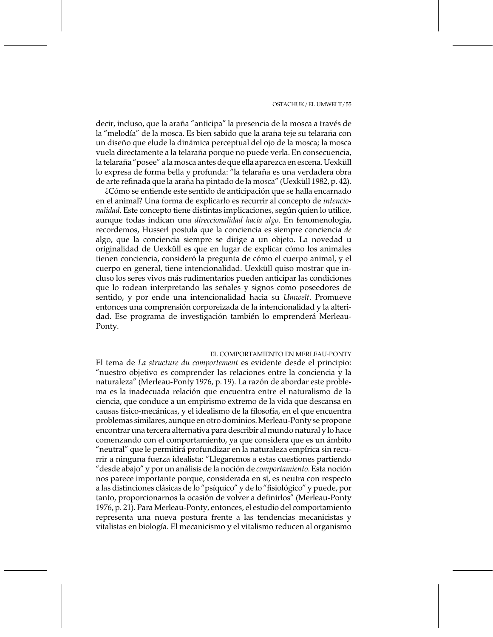decir, incluso, que la araña "anticipa" la presencia de la mosca a través de la "melodía" de la mosca. Es bien sabido que la araña teje su telaraña con un diseño que elude la dinámica perceptual del ojo de la mosca; la mosca vuela directamente a la telaraña porque no puede verla. En consecuencia, la telaraña "posee" a la mosca antes de que ella aparezca en escena. Uexküll lo expresa de forma bella y profunda: "la telaraña es una verdadera obra de arte refinada que la araña ha pintado de la mosca" (Uexküll 1982, p. 42).

¿Cómo se entiende este sentido de anticipación que se halla encarnado en el animal? Una forma de explicarlo es recurrir al concepto de *intencio*nalidad. Este concepto tiene distintas implicaciones, según quien lo utilice, aunque todas indican una direccionalidad hacia algo. En fenomenología, recordemos, Husserl postula que la conciencia es siempre conciencia de algo, que la conciencia siempre se dirige a un objeto. La novedad u originalidad de Uexküll es que en lugar de explicar cómo los animales tienen conciencia, consideró la pregunta de cómo el cuerpo animal, y el cuerpo en general, tiene intencionalidad. Uexküll quiso mostrar que incluso los seres vivos más rudimentarios pueden anticipar las condiciones que lo rodean interpretando las señales y signos como poseedores de sentido, y por ende una intencionalidad hacia su Umwelt. Promueve entonces una comprensión corporeizada de la intencionalidad y la alteridad. Ese programa de investigación también lo emprenderá Merleau-Ponty.

# EL COMPORTAMIENTO EN MERLEAU-PONTY

El tema de La structure du comportement es evidente desde el principio: "nuestro objetivo es comprender las relaciones entre la conciencia y la naturaleza" (Merleau-Ponty 1976, p. 19). La razón de abordar este problema es la inadecuada relación que encuentra entre el naturalismo de la ciencia, que conduce a un empirismo extremo de la vida que descansa en causas físico-mecánicas, y el idealismo de la filosofía, en el que encuentra problemas similares, aunque en otro dominios. Merleau-Ponty se propone encontrar una tercera alternativa para describir al mundo natural y lo hace comenzando con el comportamiento, ya que considera que es un ámbito "neutral" que le permitirá profundizar en la naturaleza empírica sin recurrir a ninguna fuerza idealista: "Llegaremos a estas cuestiones partiendo "desde abajo" y por un análisis de la noción de *comportamiento*. Esta noción nos parece importante porque, considerada en sí, es neutra con respecto a las distinciones clásicas de lo "psíquico" y de lo "fisiológico" y puede, por tanto, proporcionarnos la ocasión de volver a definirlos" (Merleau-Ponty 1976, p. 21). Para Merleau-Ponty, entonces, el estudio del comportamiento representa una nueva postura frente a las tendencias mecanicistas y vitalistas en biología. El mecanicismo y el vitalismo reducen al organismo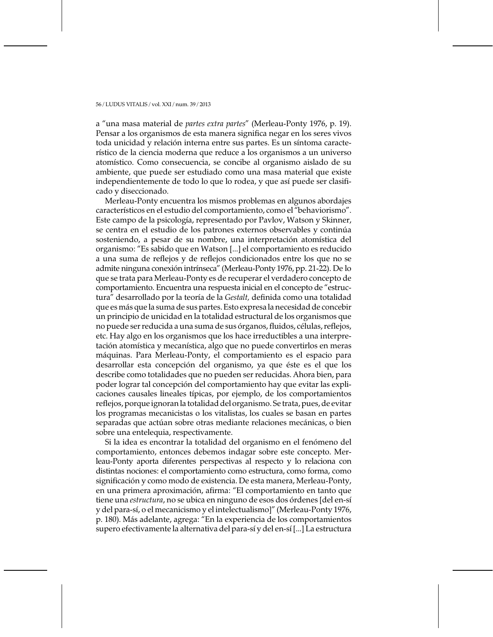a "una masa material de partes extra partes" (Merleau-Ponty 1976, p. 19). Pensar a los organismos de esta manera significa negar en los seres vivos toda unicidad y relación interna entre sus partes. Es un síntoma característico de la ciencia moderna que reduce a los organismos a un universo atomístico. Como consecuencia, se concibe al organismo aislado de su ambiente, que puede ser estudiado como una masa material que existe independientemente de todo lo que lo rodea, y que así puede ser clasificado y diseccionado.

Merleau-Ponty encuentra los mismos problemas en algunos abordajes característicos en el estudio del comportamiento, como el "behaviorismo". Este campo de la psicología, representado por Pavlov, Watson y Skinner, se centra en el estudio de los patrones externos observables y continúa sosteniendo, a pesar de su nombre, una interpretación atomística del organismo: "Es sabido que en Watson [...] el comportamiento es reducido a una suma de reflejos y de reflejos condicionados entre los que no se admite ninguna conexión intrínseca" (Merleau-Ponty 1976, pp. 21-22). De lo que se trata para Merleau-Ponty es de recuperar el verdadero concepto de comportamiento. Encuentra una respuesta inicial en el concepto de "estructura" desarrollado por la teoría de la Gestalt, definida como una totalidad que es más que la suma de sus partes. Esto expresa la necesidad de concebir un principio de unicidad en la totalidad estructural de los organismos que no puede ser reducida a una suma de sus órganos, fluidos, células, reflejos, etc. Hay algo en los organismos que los hace irreductibles a una interpretación atomística y mecanística, algo que no puede convertirlos en meras máquinas. Para Merleau-Ponty, el comportamiento es el espacio para desarrollar esta concepción del organismo, ya que éste es el que los describe como totalidades que no pueden ser reducidas. Ahora bien, para poder lograr tal concepción del comportamiento hay que evitar las explicaciones causales lineales típicas, por ejemplo, de los comportamientos reflejos, porque ignoran la totalidad del organismo. Se trata, pues, de evitar los programas mecanicistas o los vitalistas, los cuales se basan en partes separadas que actúan sobre otras mediante relaciones mecánicas, o bien sobre una entelequia, respectivamente.

Si la idea es encontrar la totalidad del organismo en el fenómeno del comportamiento, entonces debemos indagar sobre este concepto. Merleau-Ponty aporta diferentes perspectivas al respecto y lo relaciona con distintas nociones: el comportamiento como estructura, como forma, como significación y como modo de existencia. De esta manera, Merleau-Ponty, en una primera aproximación, afirma: "El comportamiento en tanto que tiene una estructura, no se ubica en ninguno de esos dos órdenes [del en-sí y del para-sí, o el mecanicismo y el intelectualismo]" (Merleau-Ponty 1976, p. 180). Más adelante, agrega: "En la experiencia de los comportamientos supero efectivamente la alternativa del para-sí y del en-sí [...] La estructura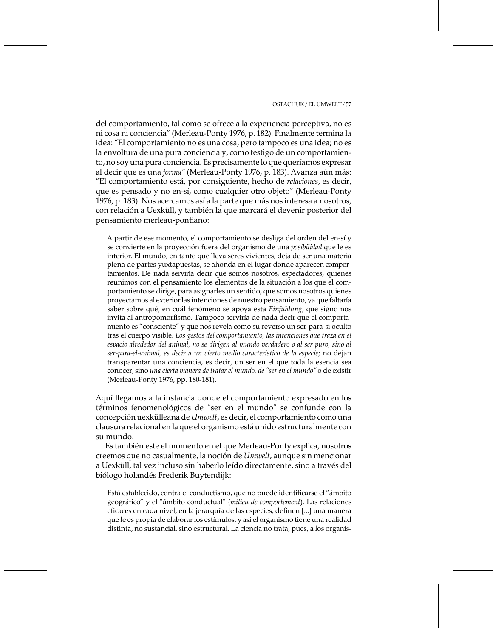del comportamiento, tal como se ofrece a la experiencia perceptiva, no es ni cosa ni conciencia" (Merleau-Ponty 1976, p. 182). Finalmente termina la idea: "El comportamiento no es una cosa, pero tampoco es una idea; no es la envoltura de una pura conciencia y, como testigo de un comportamiento, no soy una pura conciencia. Es precisamente lo que queríamos expresar al decir que es una forma" (Merleau-Ponty 1976, p. 183). Avanza aún más: "El comportamiento está, por consiguiente, hecho de relaciones, es decir, que es pensado y no en-sí, como cualquier otro objeto" (Merleau-Ponty 1976, p. 183). Nos acercamos así a la parte que más nos interesa a nosotros, con relación a Uexküll, y también la que marcará el devenir posterior del pensamiento merleau-pontiano:

A partir de ese momento, el comportamiento se desliga del orden del en-sí y se convierte en la proyección fuera del organismo de una posibilidad que le es interior. El mundo, en tanto que lleva seres vivientes, deja de ser una materia plena de partes yuxtapuestas, se ahonda en el lugar donde aparecen comportamientos. De nada serviría decir que somos nosotros, espectadores, quienes reunimos con el pensamiento los elementos de la situación a los que el comportamiento se dirige, para asignarles un sentido; que somos nosotros quienes proyectamos al exterior las intenciones de nuestro pensamiento, ya que faltaría saber sobre qué, en cuál fenómeno se apoya esta Einfühlung, qué signo nos invita al antropomorfismo. Tampoco serviría de nada decir que el comportamiento es "consciente" y que nos revela como su reverso un ser-para-sí oculto tras el cuerpo visible. Los gestos del comportamiento, las intenciones que traza en el espacio alrededor del animal, no se dirigen al mundo verdadero o al ser puro, sino al ser-para-el-animal, es decir a un cierto medio característico de la especie; no dejan transparentar una conciencia, es decir, un ser en el que toda la esencia sea conocer, sino una cierta manera de tratar el mundo, de "ser en el mundo" o de existir (Merleau-Ponty 1976, pp. 180-181).

Aquí llegamos a la instancia donde el comportamiento expresado en los términos fenomenológicos de "ser en el mundo" se confunde con la concepción uexkülleana de Umwelt, es decir, el comportamiento como una clausura relacional en la que el organismo está unido estructuralmente con su mundo.

Es también este el momento en el que Merleau-Ponty explica, nosotros creemos que no casualmente, la noción de Umwelt, aunque sin mencionar a Uexküll, tal vez incluso sin haberlo leído directamente, sino a través del biólogo holandés Frederik Buytendijk:

Está establecido, contra el conductismo, que no puede identificarse el "ámbito geográfico" y el "ámbito conductual" (milieu de comportement). Las relaciones eficaces en cada nivel, en la jerarquía de las especies, definen [...] una manera que le es propia de elaborar los estímulos, y así el organismo tiene una realidad distinta, no sustancial, sino estructural. La ciencia no trata, pues, a los organis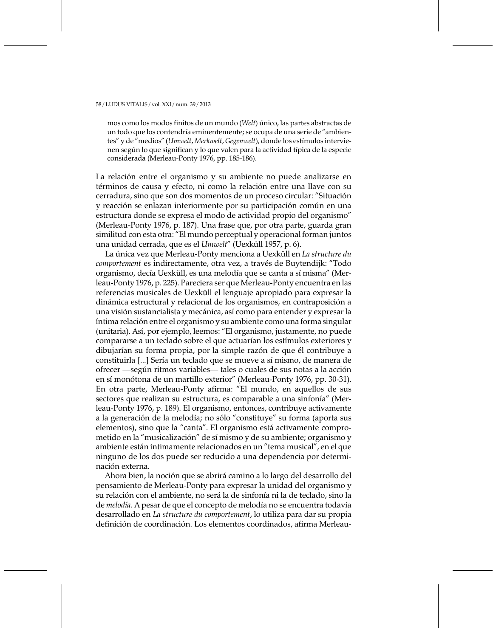mos como los modos finitos de un mundo (Welt) único, las partes abstractas de un todo que los contendría eminentemente; se ocupa de una serie de "ambientes" y de "medios" (Umwelt, Merkwelt, Gegenwelt), donde los estímulos intervienen según lo que significan y lo que valen para la actividad típica de la especie considerada (Merleau-Ponty 1976, pp. 185-186).

La relación entre el organismo y su ambiente no puede analizarse en términos de causa y efecto, ni como la relación entre una llave con su cerradura, sino que son dos momentos de un proceso circular: "Situación y reacción se enlazan interiormente por su participación común en una estructura donde se expresa el modo de actividad propio del organismo" (Merleau-Ponty 1976, p. 187). Una frase que, por otra parte, guarda gran similitud con esta otra: "El mundo perceptual y operacional forman juntos una unidad cerrada, que es el Umwelt" (Uexküll 1957, p. 6).

La única vez que Merleau-Ponty menciona a Uexküll en La structure du comportement es indirectamente, otra vez, a través de Buytendijk: "Todo organismo, decía Uexküll, es una melodía que se canta a sí misma" (Merleau-Ponty 1976, p. 225). Pareciera ser que Merleau-Ponty encuentra en las referencias musicales de Uexküll el lenguaje apropiado para expresar la dinámica estructural y relacional de los organismos, en contraposición a una visión sustancialista y mecánica, así como para entender y expresar la íntima relación entre el organismo y su ambiente como una forma singular (unitaria). Así, por ejemplo, leemos: "El organismo, justamente, no puede compararse a un teclado sobre el que actuarían los estímulos exteriores y dibujarían su forma propia, por la simple razón de que él contribuye a constituirla [...] Sería un teclado que se mueve a sí mismo, de manera de ofrecer -según ritmos variables - tales o cuales de sus notas a la acción en sí monótona de un martillo exterior" (Merleau-Ponty 1976, pp. 30-31). En otra parte, Merleau-Ponty afirma: "El mundo, en aquellos de sus sectores que realizan su estructura, es comparable a una sinfonía" (Merleau-Ponty 1976, p. 189). El organismo, entonces, contribuye activamente a la generación de la melodía; no sólo "constituye" su forma (aporta sus elementos), sino que la "canta". El organismo está activamente comprometido en la "musicalización" de sí mismo y de su ambiente; organismo y ambiente están íntimamente relacionados en un "tema musical", en el que ninguno de los dos puede ser reducido a una dependencia por determinación externa.

Ahora bien, la noción que se abrirá camino a lo largo del desarrollo del pensamiento de Merleau-Ponty para expresar la unidad del organismo y su relación con el ambiente, no será la de sinfonía ni la de teclado, sino la de melodía. A pesar de que el concepto de melodía no se encuentra todavía desarrollado en La structure du comportement, lo utiliza para dar su propia definición de coordinación. Los elementos coordinados, afirma Merleau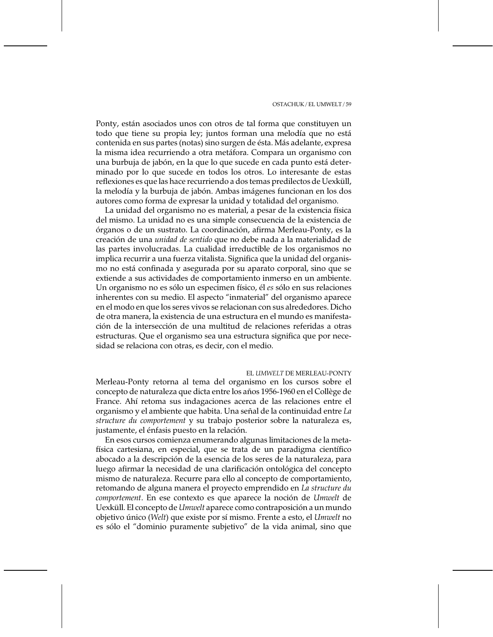Ponty, están asociados unos con otros de tal forma que constituyen un todo que tiene su propia ley; juntos forman una melodía que no está contenida en sus partes (notas) sino surgen de ésta. Más adelante, expresa la misma idea recurriendo a otra metáfora. Compara un organismo con una burbuja de jabón, en la que lo que sucede en cada punto está determinado por lo que sucede en todos los otros. Lo interesante de estas reflexiones es que las hace recurriendo a dos temas predilectos de Uexküll, la melodía y la burbuja de jabón. Ambas imágenes funcionan en los dos autores como forma de expresar la unidad y totalidad del organismo.

La unidad del organismo no es material, a pesar de la existencia física del mismo. La unidad no es una simple consecuencia de la existencia de órganos o de un sustrato. La coordinación, afirma Merleau-Ponty, es la creación de una unidad de sentido que no debe nada a la materialidad de las partes involucradas. La cualidad irreductible de los organismos no implica recurrir a una fuerza vitalista. Significa que la unidad del organismo no está confinada y asegurada por su aparato corporal, sino que se extiende a sus actividades de comportamiento inmerso en un ambiente. Un organismo no es sólo un especimen físico, él es sólo en sus relaciones inherentes con su medio. El aspecto "inmaterial" del organismo aparece en el modo en que los seres vivos se relacionan con sus alrededores. Dicho de otra manera, la existencia de una estructura en el mundo es manifestación de la intersección de una multitud de relaciones referidas a otras estructuras. Que el organismo sea una estructura significa que por necesidad se relaciona con otras, es decir, con el medio.

## EL UMWELT DE MERLEAU-PONTY

Merleau-Ponty retorna al tema del organismo en los cursos sobre el concepto de naturaleza que dicta entre los años 1956-1960 en el Collège de France. Ahí retoma sus indagaciones acerca de las relaciones entre el organismo y el ambiente que habita. Una señal de la continuidad entre La structure du comportement y su trabajo posterior sobre la naturaleza es, justamente, el énfasis puesto en la relación.

En esos cursos comienza enumerando algunas limitaciones de la metafísica cartesiana, en especial, que se trata de un paradigma científico abocado a la descripción de la esencia de los seres de la naturaleza, para luego afirmar la necesidad de una clarificación ontológica del concepto mismo de naturaleza. Recurre para ello al concepto de comportamiento, retomando de alguna manera el proyecto emprendido en La structure du comportement. En ese contexto es que aparece la noción de Umwelt de Uexküll. El concepto de Umwelt aparece como contraposición a un mundo objetivo único (Welt) que existe por sí mismo. Frente a esto, el Umwelt no es sólo el "dominio puramente subjetivo" de la vida animal, sino que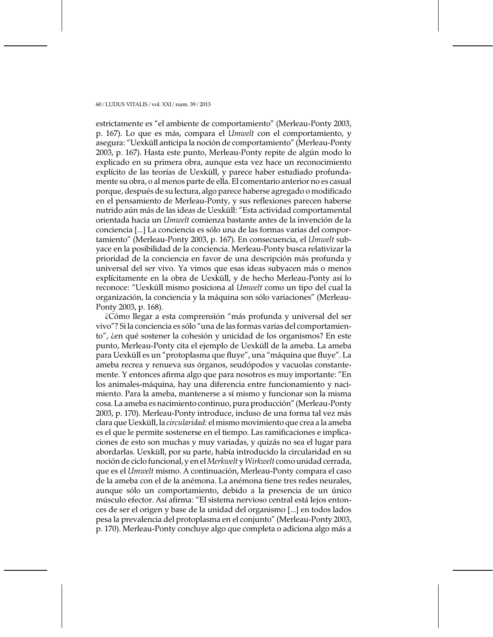estrictamente es "el ambiente de comportamiento" (Merleau-Ponty 2003, p. 167). Lo que es más, compara el *Umwelt* con el comportamiento, y asegura: "Uexküll anticipa la noción de comportamiento" (Merleau-Ponty 2003, p. 167). Hasta este punto, Merleau-Ponty repite de algún modo lo explicado en su primera obra, aunque esta vez hace un reconocimiento explícito de las teorías de Uexküll, y parece haber estudiado profundamente su obra, o al menos parte de ella. El comentario anterior no es casual porque, después de su lectura, algo parece haberse agregado o modificado en el pensamiento de Merleau-Ponty, y sus reflexiones parecen haberse nutrido aún más de las ideas de Uexküll: "Esta actividad comportamental orientada hacia un Umwelt comienza bastante antes de la invención de la conciencia [...] La conciencia es sólo una de las formas varias del comportamiento" (Merleau-Ponty 2003, p. 167). En consecuencia, el Umwelt subyace en la posibilidad de la conciencia. Merleau-Ponty busca relativizar la prioridad de la conciencia en favor de una descripción más profunda y universal del ser vivo. Ya vimos que esas ideas subyacen más o menos explícitamente en la obra de Uexküll, y de hecho Merleau-Ponty así lo reconoce: "Uexküll mismo posiciona al Umwelt como un tipo del cual la organización, la conciencia y la máquina son sólo variaciones" (Merleau-Ponty 2003, p. 168).

¿Cómo llegar a esta comprensión "más profunda y universal del ser vivo"? Si la conciencia es sólo "una de las formas varias del comportamiento", ien qué sostener la cohesión y unicidad de los organismos? En este punto, Merleau-Ponty cita el ejemplo de Uexküll de la ameba. La ameba para Uexküll es un "protoplasma que fluye", una "máquina que fluye". La ameba recrea y renueva sus órganos, seudópodos y vacuolas constantemente. Y entonces afirma algo que para nosotros es muy importante: "En los animales-máquina, hay una diferencia entre funcionamiento y nacimiento. Para la ameba, mantenerse a sí mismo y funcionar son la misma cosa. La ameba es nacimiento continuo, pura producción" (Merleau-Ponty 2003, p. 170). Merleau-Ponty introduce, incluso de una forma tal vez más clara que Uexküll, la circularidad: el mismo movimiento que crea a la ameba es el que le permite sostenerse en el tiempo. Las ramificaciones e implicaciones de esto son muchas y muy variadas, y quizás no sea el lugar para abordarlas. Uexküll, por su parte, había introducido la circularidad en su noción de ciclo funcional, y en el Merkwelt y Wirkwelt como unidad cerrada, que es el Umwelt mismo. A continuación, Merleau-Ponty compara el caso de la ameba con el de la anémona. La anémona tiene tres redes neurales, aunque sólo un comportamiento, debido a la presencia de un único músculo efector. Así afirma: "El sistema nervioso central está lejos entonces de ser el origen y base de la unidad del organismo [...] en todos lados pesa la prevalencia del protoplasma en el conjunto" (Merleau-Ponty 2003, p. 170). Merleau-Ponty concluye algo que completa o adiciona algo más a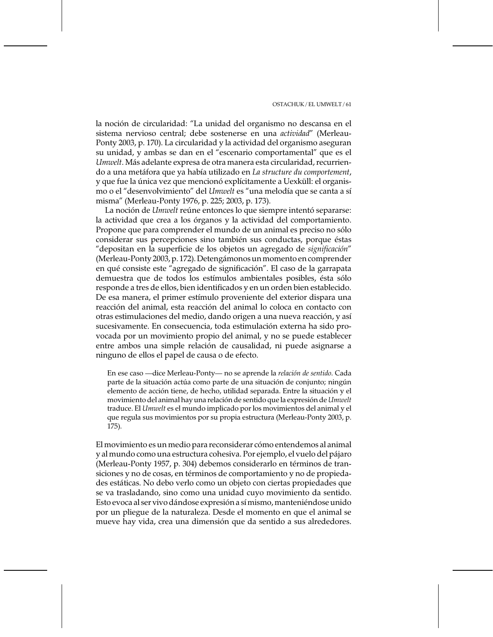la noción de circularidad: "La unidad del organismo no descansa en el sistema nervioso central; debe sostenerse en una actividad" (Merleau-Ponty 2003, p. 170). La circularidad y la actividad del organismo aseguran su unidad, y ambas se dan en el "escenario comportamental" que es el Umwelt. Más adelante expresa de otra manera esta circularidad, recurriendo a una metáfora que ya había utilizado en La structure du comportement, y que fue la única vez que mencionó explícitamente a Uexküll: el organismo o el "desenvolvimiento" del Umwelt es "una melodía que se canta a sí misma" (Merleau-Ponty 1976, p. 225; 2003, p. 173).

La noción de *Umwelt* reúne entonces lo que siempre intentó separarse: la actividad que crea a los órganos y la actividad del comportamiento. Propone que para comprender el mundo de un animal es preciso no sólo considerar sus percepciones sino también sus conductas, porque éstas "depositan en la superficie de los objetos un agregado de significación" (Merleau-Ponty 2003, p. 172). Detengámonos un momento en comprender en qué consiste este "agregado de significación". El caso de la garrapata demuestra que de todos los estímulos ambientales posibles, ésta sólo responde a tres de ellos, bien identificados y en un orden bien establecido. De esa manera, el primer estímulo proveniente del exterior dispara una reacción del animal, esta reacción del animal lo coloca en contacto con otras estimulaciones del medio, dando origen a una nueva reacción, y así sucesivamente. En consecuencia, toda estimulación externa ha sido provocada por un movimiento propio del animal, y no se puede establecer entre ambos una simple relación de causalidad, ni puede asignarse a ninguno de ellos el papel de causa o de efecto.

En ese caso - dice Merleau-Ponty - no se aprende la relación de sentido. Cada parte de la situación actúa como parte de una situación de conjunto; ningún elemento de acción tiene, de hecho, utilidad separada. Entre la situación y el movimiento del animal hay una relación de sentido que la expresión de Umwelt traduce. El Umwelt es el mundo implicado por los movimientos del animal y el que regula sus movimientos por su propia estructura (Merleau-Ponty 2003, p. 175).

El movimiento es un medio para reconsiderar cómo entendemos al animal y al mundo como una estructura cohesiva. Por ejemplo, el vuelo del pájaro (Merleau-Ponty 1957, p. 304) debemos considerarlo en términos de transiciones y no de cosas, en términos de comportamiento y no de propiedades estáticas. No debo verlo como un objeto con ciertas propiedades que se va trasladando, sino como una unidad cuyo movimiento da sentido. Esto evoca al ser vivo dándose expresión a sí mismo, manteniéndose unido por un pliegue de la naturaleza. Desde el momento en que el animal se mueve hay vida, crea una dimensión que da sentido a sus alrededores.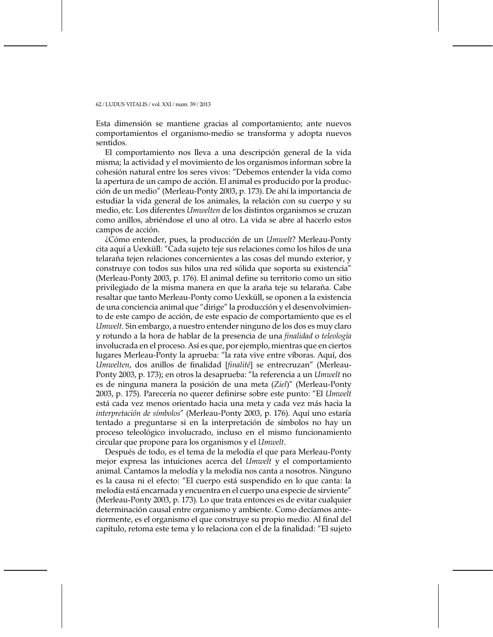Esta dimensión se mantiene gracias al comportamiento; ante nuevos comportamientos el organismo-medio se transforma y adopta nuevos sentidos.

El comportamiento nos lleva a una descripción general de la vida misma; la actividad y el movimiento de los organismos informan sobre la cohesión natural entre los seres vivos: "Debemos entender la vida como la apertura de un campo de acción. El animal es producido por la producción de un medio" (Merleau-Ponty 2003, p. 173). De ahí la importancia de estudiar la vida general de los animales, la relación con su cuerpo y su medio, etc. Los diferentes Umwelten de los distintos organismos se cruzan como anillos, abriéndose el uno al otro. La vida se abre al hacerlo estos campos de acción.

¿Cómo entender, pues, la producción de un Umwelt? Merleau-Ponty cita aquí a Uexküll: "Cada sujeto teje sus relaciones como los hilos de una telaraña tejen relaciones concernientes a las cosas del mundo exterior, y construye con todos sus hilos una red sólida que soporta su existencia" (Merleau-Ponty 2003, p. 176). El animal define su territorio como un sitio privilegiado de la misma manera en que la araña teje su telaraña. Cabe resaltar que tanto Merleau-Ponty como Uexküll, se oponen a la existencia de una conciencia animal que "dirige" la producción y el desenvolvimiento de este campo de acción, de este espacio de comportamiento que es el Umwelt. Sin embargo, a nuestro entender ninguno de los dos es muy claro y rotundo a la hora de hablar de la presencia de una finalidad o teleología involucrada en el proceso. Así es que, por ejemplo, mientras que en ciertos lugares Merleau-Ponty la aprueba: "la rata vive entre víboras. Aquí, dos Umwelten, dos anillos de finalidad [finalité] se entrecruzan" (Merleau-Ponty 2003, p. 173); en otros la desaprueba: "la referencia a un Umwelt no es de ninguna manera la posición de una meta (Ziel)" (Merleau-Ponty 2003, p. 175). Parecería no querer definirse sobre este punto: "El Umwelt está cada vez menos orientado hacia una meta y cada vez más hacia la interpretación de símbolos" (Merleau-Ponty 2003, p. 176). Aquí uno estaría tentado a preguntarse si en la interpretación de símbolos no hay un proceso teleológico involucrado, incluso en el mismo funcionamiento circular que propone para los organismos y el Umwelt.

Después de todo, es el tema de la melodía el que para Merleau-Ponty mejor expresa las intuiciones acerca del *Umwelt* y el comportamiento animal. Cantamos la melodía y la melodía nos canta a nosotros. Ninguno es la causa ni el efecto: "El cuerpo está suspendido en lo que canta: la melodía está encarnada y encuentra en el cuerpo una especie de sirviente" (Merleau-Ponty 2003, p. 173). Lo que trata entonces es de evitar cualquier determinación causal entre organismo y ambiente. Como decíamos anteriormente, es el organismo el que construye su propio medio. Al final del capítulo, retoma este tema y lo relaciona con el de la finalidad: "El sujeto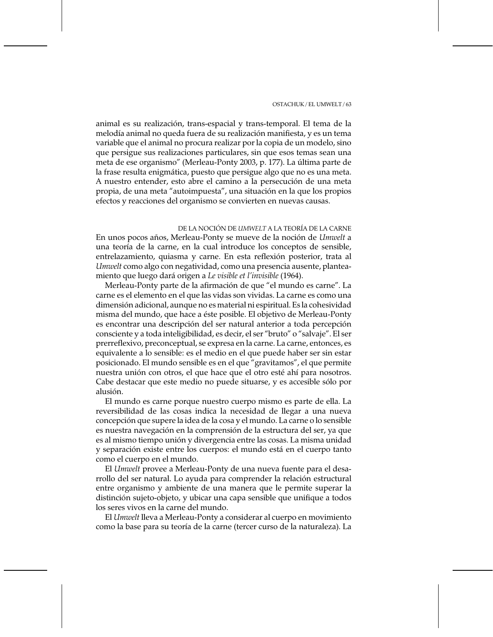animal es su realización, trans-espacial y trans-temporal. El tema de la melodía animal no queda fuera de su realización manifiesta, y es un tema variable que el animal no procura realizar por la copia de un modelo, sino que persigue sus realizaciones particulares, sin que esos temas sean una meta de ese organismo" (Merleau-Ponty 2003, p. 177). La última parte de la frase resulta enigmática, puesto que persigue algo que no es una meta. A nuestro entender, esto abre el camino a la persecución de una meta propia, de una meta "autoimpuesta", una situación en la que los propios efectos y reacciones del organismo se convierten en nuevas causas.

## DE LA NOCIÓN DE *LIMWELT* A LA TEORÍA DE LA CARNE

En unos pocos años, Merleau-Ponty se mueve de la noción de Umwelt a una teoría de la carne, en la cual introduce los conceptos de sensible, entrelazamiento, quiasma y carne. En esta reflexión posterior, trata al Umwelt como algo con negatividad, como una presencia ausente, planteamiento que luego dará origen a Le visible et l'invisible (1964).

Merleau-Ponty parte de la afirmación de que "el mundo es carne". La carne es el elemento en el que las vidas son vividas. La carne es como una dimensión adicional, aunque no es material ni espiritual. Es la cohesividad misma del mundo, que hace a éste posible. El objetivo de Merleau-Ponty es encontrar una descripción del ser natural anterior a toda percepción consciente y a toda inteligibilidad, es decir, el ser "bruto" o "salvaje". El ser prerreflexivo, preconceptual, se expresa en la carne. La carne, entonces, es equivalente a lo sensible: es el medio en el que puede haber ser sin estar posicionado. El mundo sensible es en el que "gravitamos", el que permite nuestra unión con otros, el que hace que el otro esté ahí para nosotros. Cabe destacar que este medio no puede situarse, y es accesible sólo por alusión.

El mundo es carne porque nuestro cuerpo mismo es parte de ella. La reversibilidad de las cosas indica la necesidad de llegar a una nueva concepción que supere la idea de la cosa y el mundo. La carne o lo sensible es nuestra navegación en la comprensión de la estructura del ser, ya que es al mismo tiempo unión y divergencia entre las cosas. La misma unidad y separación existe entre los cuerpos: el mundo está en el cuerpo tanto como el cuerpo en el mundo.

El Umwelt provee a Merleau-Ponty de una nueva fuente para el desarrollo del ser natural. Lo ayuda para comprender la relación estructural entre organismo y ambiente de una manera que le permite superar la distinción sujeto-objeto, y ubicar una capa sensible que unifique a todos los seres vivos en la carne del mundo.

El Umwelt lleva a Merleau-Ponty a considerar al cuerpo en movimiento como la base para su teoría de la carne (tercer curso de la naturaleza). La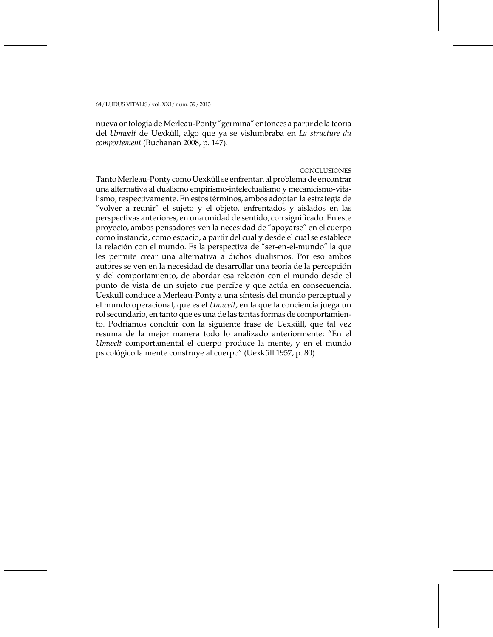nueva ontología de Merleau-Ponty "germina" entonces a partir de la teoría del Umwelt de Uexküll, algo que ya se vislumbraba en La structure du comportement (Buchanan 2008, p. 147).

### CONCLUSIONES

Tanto Merleau-Ponty como Uexküll se enfrentan al problema de encontrar una alternativa al dualismo empirismo-intelectualismo y mecanicismo-vitalismo, respectivamente. En estos términos, ambos adoptan la estrategia de "volver a reunir" el sujeto y el objeto, enfrentados y aislados en las perspectivas anteriores, en una unidad de sentido, con significado. En este proyecto, ambos pensadores ven la necesidad de "apoyarse" en el cuerpo como instancia, como espacio, a partir del cual y desde el cual se establece la relación con el mundo. Es la perspectiva de "ser-en-el-mundo" la que les permite crear una alternativa a dichos dualismos. Por eso ambos autores se ven en la necesidad de desarrollar una teoría de la percepción y del comportamiento, de abordar esa relación con el mundo desde el punto de vista de un sujeto que percibe y que actúa en consecuencia. Uexküll conduce a Merleau-Ponty a una síntesis del mundo perceptual y el mundo operacional, que es el *Umwelt*, en la que la conciencia juega un rol secundario, en tanto que es una de las tantas formas de comportamiento. Podríamos concluir con la siguiente frase de Uexküll, que tal vez resuma de la mejor manera todo lo analizado anteriormente: "En el Umwelt comportamental el cuerpo produce la mente, y en el mundo psicológico la mente construye al cuerpo" (Uexküll 1957, p. 80).